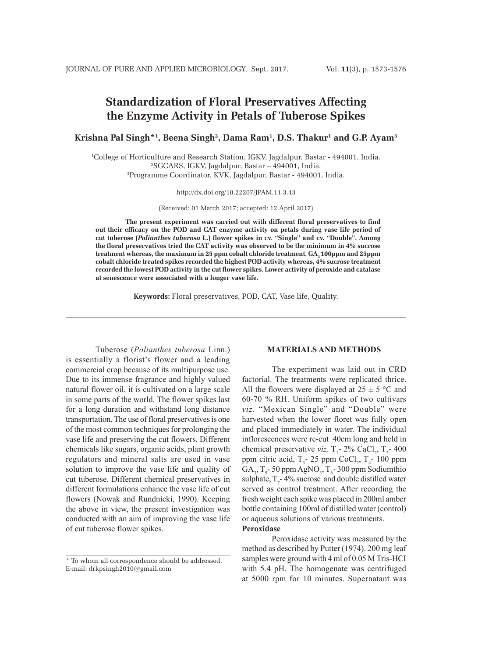# **Standardization of Floral Preservatives Affecting the Enzyme Activity in Petals of Tuberose Spikes**

 $\mathbf{K}$ rishna Pal Singh\*1, Beena Singh<sup>2</sup>, Dama Ram<sup>1</sup>, D.S. Thakur<sup>1</sup> and G.P. Ayam<sup>3</sup>

1 College of Horticulture and Research Station, IGKV, Jagdalpur, Bastar - 494001, India. 2 SGCARS, IGKV, Jagdalpur, Bastar – 494001, India. 3 Programme Coordinator, KVK, Jagdalpur, Bastar - 494001, India.

http://dx.doi.org/10.22207/JPAM.11.3.43

(Received: 01 March 2017; accepted: 12 April 2017)

**The present experiment was carried out with different floral preservatives to find out their efficacy on the POD and CAT enzyme activity on petals during vase life period of cut tuberose (***Polianthes tuberosa* **L.) flower spikes in cv. "Single" and cv. "Double". Among the floral preservatives tried the CAT activity was observed to be the minimum in 4% sucrose treatment whereas, the maximum in 25 ppm cobalt chloride treatment. GA<sub>3</sub> 100ppm and 25ppm cobalt chloride treated spikes recorded the highest POD activity whereas, 4% sucrose treatment recorded the lowest POD activity in the cut flower spikes. Lower activity of peroxide and catalase at senescence were associated with a longer vase life.**

**Keywords:** Floral preservatives, POD, CAT, Vase life, Quality.

Tuberose (*Polianthes tuberosa* Linn.) is essentially a florist's flower and a leading commercial crop because of its multipurpose use. Due to its immense fragrance and highly valued natural flower oil, it is cultivated on a large scale in some parts of the world. The flower spikes last for a long duration and withstand long distance transportation. The use of floral preservatives is one of the most common techniques for prolonging the vase life and preserving the cut flowers. Different chemicals like sugars, organic acids, plant growth regulators and mineral salts are used in vase solution to improve the vase life and quality of cut tuberose. Different chemical preservatives in different formulations enhance the vase life of cut flowers (Nowak and Rundnicki, 1990). Keeping the above in view, the present investigation was conducted with an aim of improving the vase life of cut tuberose flower spikes.

### **MATERIALS AND METHODS**

The experiment was laid out in CRD factorial. The treatments were replicated thrice. All the flowers were displayed at  $25 \pm 5$  °C and 60-70 % RH. Uniform spikes of two cultivars *viz.* "Mexican Single" and "Double" were harvested when the lower floret was fully open and placed immediately in water. The individual inflorescences were re-cut 40cm long and held in chemical preservative *viz*,  $T_1$ - 2% CaCl<sub>2</sub>,  $T_2$ - 400 ppm citric acid,  $T_3$ - 25 ppm CoCl<sub>2</sub>,  $T_4$ - 100 ppm  $GA_{3}$ , T<sub>5</sub> - 50 ppm AgNO<sub>3</sub>, T<sub>6</sub> - 300 ppm Sodiumthio sulphate,  $T_7$ -4% sucrose and double distilled water served as control treatment. After recording the fresh weight each spike was placed in 200ml amber bottle containing 100ml of distilled water (control) or aqueous solutions of various treatments. **Peroxidase**

Peroxidase activity was measured by the method as described by Putter (1974). 200 mg leaf samples were ground with 4 ml of 0.05 M Tris-HCI with 5.4 pH. The homogenate was centrifuged at 5000 rpm for 10 minutes. Supernatant was

<sup>\*</sup> To whom all correspondence should be addressed. E-mail: drkpsingh2010@gmail.com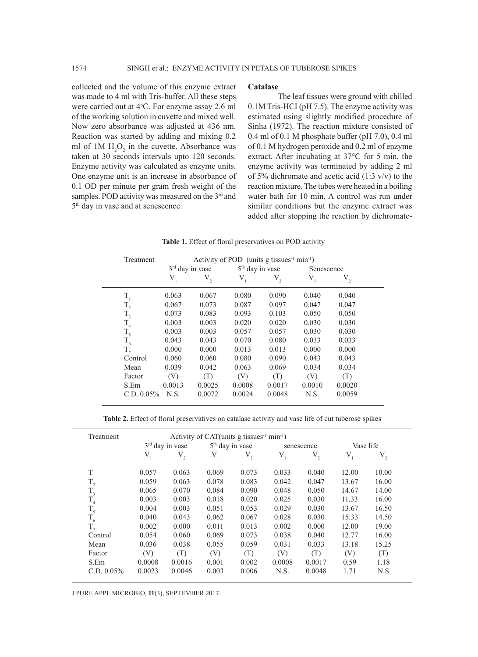collected and the volume of this enzyme extract was made to 4 ml with Tris-buffer. All these steps were carried out at 4°C. For enzyme assay 2.6 ml of the working solution in cuvette and mixed well. Now zero absorbance was adjusted at 436 nm. Reaction was started by adding and mixing 0.2 ml of  $1M H_2O_2$  in the cuvette. Absorbance was taken at 30 seconds intervals upto 120 seconds. Enzyme activity was calculated as enzyme units. One enzyme unit is an increase in absorbance of 0.1 OD per minute per gram fresh weight of the samples. POD activity was measured on the 3<sup>rd</sup> and 5th day in vase and at senescence.

#### **Catalase**

The leaf tissues were ground with chilled 0.1M Tris-HCI (pH 7.5). The enzyme activity was estimated using slightly modified procedure of Sinha (1972). The reaction mixture consisted of 0.4 ml of 0.1 M phosphate buffer (pH 7.0), 0.4 ml of 0.1 M hydrogen peroxide and 0.2 ml of enzyme extract. After incubating at 37°C for 5 min, the enzyme activity was terminated by adding 2 ml of 5% dichromate and acetic acid  $(1:3 \text{ v/v})$  to the reaction mixture. The tubes were heated in a boiling water bath for 10 min. A control was run under similar conditions but the enzyme extract was added after stopping the reaction by dichromate-

**Table 1.** Effect of floral preservatives on POD activity

| Treatment     | Activity of POD (units g tissues <sup>-1</sup> min <sup>-1</sup> ) |         |                             |         |            |         |  |
|---------------|--------------------------------------------------------------------|---------|-----------------------------|---------|------------|---------|--|
|               | $3rd$ day in vase                                                  |         | 5 <sup>th</sup> day in vase |         | Senescence |         |  |
|               | $V_{1}$                                                            | $V_{2}$ | $V_{1}$                     | $V_{2}$ | $V_{1}$    | $V_{2}$ |  |
| $T_{1}$       | 0.063                                                              | 0.067   | 0.080                       | 0.090   | 0.040      | 0.040   |  |
| $\rm T_{_2}$  | 0.067                                                              | 0.073   | 0.087                       | 0.097   | 0.047      | 0.047   |  |
| $T_{3}$       | 0.073                                                              | 0.083   | 0.093                       | 0.103   | 0.050      | 0.050   |  |
| $\rm T_{_4}$  | 0.003                                                              | 0.003   | 0.020                       | 0.020   | 0.030      | 0.030   |  |
| $T_{5}$       | 0.003                                                              | 0.003   | 0.057                       | 0.057   | 0.030      | 0.030   |  |
| $T_{6}$       | 0.043                                                              | 0.043   | 0.070                       | 0.080   | 0.033      | 0.033   |  |
| $T_{7}$       | 0.000                                                              | 0.000   | 0.013                       | 0.013   | 0.000      | 0.000   |  |
| Control       | 0.060                                                              | 0.060   | 0.080                       | 0.090   | 0.043      | 0.043   |  |
| Mean          | 0.039                                                              | 0.042   | 0.063                       | 0.069   | 0.034      | 0.034   |  |
| Factor        | (V)                                                                | (T)     | (V)                         | (T)     | (V)        | (T)     |  |
| S.Em          | 0.0013                                                             | 0.0025  | 0.0008                      | 0.0017  | 0.0010     | 0.0020  |  |
| $C.D. 0.05\%$ | N.S.                                                               | 0.0072  | 0.0024                      | 0.0048  | N.S.       | 0.0059  |  |

**Table 2.** Effect of floral preservatives on catalase activity and vase life of cut tuberose spikes

| Treatment                     | Activity of CAT(units g tissues <sup>-1</sup> min <sup>-1</sup> ) |              |                             |              |            |         |           |              |  |
|-------------------------------|-------------------------------------------------------------------|--------------|-----------------------------|--------------|------------|---------|-----------|--------------|--|
|                               | $3rd$ day in vase                                                 |              | 5 <sup>th</sup> day in vase |              | senescence |         | Vase life |              |  |
|                               | $V_{1}$                                                           | $\rm V_{_2}$ | $V_{1}$                     | $\rm V_{_2}$ | $V_{1}$    | $V_{2}$ | $V_{1}$   | $\rm V_{_2}$ |  |
| $T_{1}$                       | 0.057                                                             | 0.063        | 0.069                       | 0.073        | 0.033      | 0.040   | 12.00     | 10.00        |  |
|                               | 0.059                                                             | 0.063        | 0.078                       | 0.083        | 0.042      | 0.047   | 13.67     | 16.00        |  |
| $\rm T_{_{2}}$ $\rm T_{_{3}}$ | 0.065                                                             | 0.070        | 0.084                       | 0.090        | 0.048      | 0.050   | 14.67     | 14.00        |  |
| $T_{4}$                       | 0.003                                                             | 0.003        | 0.018                       | 0.020        | 0.025      | 0.030   | 11.33     | 16.00        |  |
| $\rm T_{_5}$                  | 0.004                                                             | 0.003        | 0.051                       | 0.053        | 0.029      | 0.030   | 13.67     | 16.50        |  |
| $T_{6}$                       | 0.040                                                             | 0.043        | 0.062                       | 0.067        | 0.028      | 0.030   | 15.33     | 14.50        |  |
| $T_{7}$                       | 0.002                                                             | 0.000        | 0.011                       | 0.013        | 0.002      | 0.000   | 12.00     | 19.00        |  |
| Control                       | 0.054                                                             | 0.060        | 0.069                       | 0.073        | 0.038      | 0.040   | 12.77     | 16.00        |  |
| Mean                          | 0.036                                                             | 0.038        | 0.055                       | 0.059        | 0.031      | 0.033   | 13.18     | 15.25        |  |
| Factor                        | (V)                                                               | (T)          | (V)                         | (T)          | (V)        | (T)     | (V)       | (T)          |  |
| S.Em                          | 0.0008                                                            | 0.0016       | 0.001                       | 0.002        | 0.0008     | 0.0017  | 0.59      | 1.18         |  |
| $C.D. 0.05\%$                 | 0.0023                                                            | 0.0046       | 0.003                       | 0.006        | N.S.       | 0.0048  | 1.71      | N.S          |  |

J PURE APPL MICROBIO*,* **11**(3), SEPTEMBER 2017.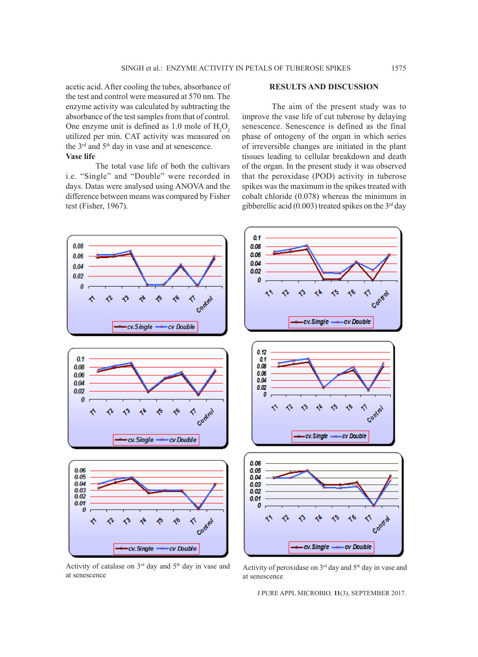acetic acid. After cooling the tubes, absorbance of the test and control were measured at 570 nm. The enzyme activity was calculated by subtracting the absorbance of the test samples from that of control. One enzyme unit is defined as  $1.0$  mole of  $H_2O_2$ utilized per min. CAT activity was measured on the 3<sup>rd</sup> and 5<sup>th</sup> day in vase and at senescence. **Vase life**

The total vase life of both the cultivars i.e. "Single" and "Double" were recorded in days. Datas were analysed using ANOVA and the difference between means was compared by Fisher test (Fisher, 1967).

## **RESULTS AND DISCUSSION**

The aim of the present study was to improve the vase life of cut tuberose by delaying senescence. Senescence is defined as the final phase of ontogeny of the organ in which series of irreversible changes are initiated in the plant tissues leading to cellular breakdown and death of the organ. In the present study it was observed that the peroxidase (POD) activity in tuberose spikes was the maximum in the spikes treated with cobalt chloride (0.078) whereas the minimum in gibberellic acid (0.003) treated spikes on the  $3<sup>rd</sup>$  day



Activity of catalase on  $3<sup>rd</sup>$  day and  $5<sup>th</sup>$  day in vase and at senescence

Activity of peroxidase on 3rd day and 5th day in vase and at senescence

J PURE APPL MICROBIO*,* **11**(3), SEPTEMBER 2017.